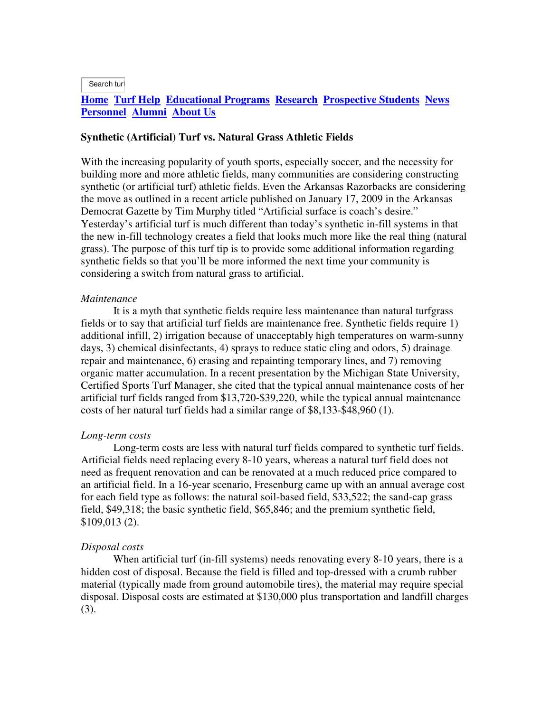Search turf

# **Home Turf Help Educational Programs Research Prospective Students News Personnel Alumni About Us**

### **Synthetic (Artificial) Turf vs. Natural Grass Athletic Fields**

With the increasing popularity of youth sports, especially soccer, and the necessity for building more and more athletic fields, many communities are considering constructing synthetic (or artificial turf) athletic fields. Even the Arkansas Razorbacks are considering the move as outlined in a recent article published on January 17, 2009 in the Arkansas Democrat Gazette by Tim Murphy titled "Artificial surface is coach's desire." Yesterday's artificial turf is much different than today's synthetic in-fill systems in that the new in-fill technology creates a field that looks much more like the real thing (natural grass). The purpose of this turf tip is to provide some additional information regarding synthetic fields so that you'll be more informed the next time your community is considering a switch from natural grass to artificial.

### *Maintenance*

 It is a myth that synthetic fields require less maintenance than natural turfgrass fields or to say that artificial turf fields are maintenance free. Synthetic fields require 1) additional infill, 2) irrigation because of unacceptably high temperatures on warm-sunny days, 3) chemical disinfectants, 4) sprays to reduce static cling and odors, 5) drainage repair and maintenance, 6) erasing and repainting temporary lines, and 7) removing organic matter accumulation. In a recent presentation by the Michigan State University, Certified Sports Turf Manager, she cited that the typical annual maintenance costs of her artificial turf fields ranged from \$13,720-\$39,220, while the typical annual maintenance costs of her natural turf fields had a similar range of \$8,133-\$48,960 (1).

#### *Long-term costs*

 Long-term costs are less with natural turf fields compared to synthetic turf fields. Artificial fields need replacing every 8-10 years, whereas a natural turf field does not need as frequent renovation and can be renovated at a much reduced price compared to an artificial field. In a 16-year scenario, Fresenburg came up with an annual average cost for each field type as follows: the natural soil-based field, \$33,522; the sand-cap grass field, \$49,318; the basic synthetic field, \$65,846; and the premium synthetic field, \$109,013 (2).

#### *Disposal costs*

 When artificial turf (in-fill systems) needs renovating every 8-10 years, there is a hidden cost of disposal. Because the field is filled and top-dressed with a crumb rubber material (typically made from ground automobile tires), the material may require special disposal. Disposal costs are estimated at \$130,000 plus transportation and landfill charges (3).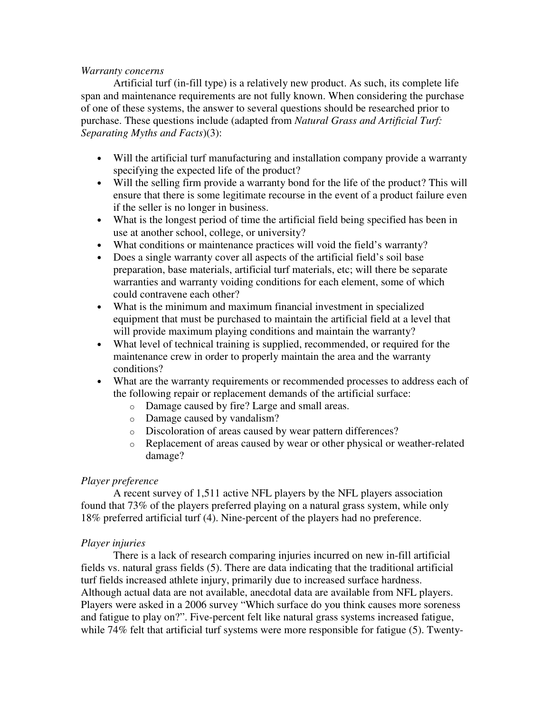## *Warranty concerns*

 Artificial turf (in-fill type) is a relatively new product. As such, its complete life span and maintenance requirements are not fully known. When considering the purchase of one of these systems, the answer to several questions should be researched prior to purchase. These questions include (adapted from *Natural Grass and Artificial Turf: Separating Myths and Facts*)(3):

- Will the artificial turf manufacturing and installation company provide a warranty specifying the expected life of the product?
- Will the selling firm provide a warranty bond for the life of the product? This will ensure that there is some legitimate recourse in the event of a product failure even if the seller is no longer in business.
- What is the longest period of time the artificial field being specified has been in use at another school, college, or university?
- What conditions or maintenance practices will void the field's warranty?
- Does a single warranty cover all aspects of the artificial field's soil base preparation, base materials, artificial turf materials, etc; will there be separate warranties and warranty voiding conditions for each element, some of which could contravene each other?
- What is the minimum and maximum financial investment in specialized equipment that must be purchased to maintain the artificial field at a level that will provide maximum playing conditions and maintain the warranty?
- What level of technical training is supplied, recommended, or required for the maintenance crew in order to properly maintain the area and the warranty conditions?
- What are the warranty requirements or recommended processes to address each of the following repair or replacement demands of the artificial surface:
	- o Damage caused by fire? Large and small areas.
	- o Damage caused by vandalism?
	- o Discoloration of areas caused by wear pattern differences?
	- o Replacement of areas caused by wear or other physical or weather-related damage?

## *Player preference*

 A recent survey of 1,511 active NFL players by the NFL players association found that 73% of the players preferred playing on a natural grass system, while only 18% preferred artificial turf (4). Nine-percent of the players had no preference.

## *Player injuries*

 There is a lack of research comparing injuries incurred on new in-fill artificial fields vs. natural grass fields (5). There are data indicating that the traditional artificial turf fields increased athlete injury, primarily due to increased surface hardness. Although actual data are not available, anecdotal data are available from NFL players. Players were asked in a 2006 survey "Which surface do you think causes more soreness and fatigue to play on?". Five-percent felt like natural grass systems increased fatigue, while 74% felt that artificial turf systems were more responsible for fatigue (5). Twenty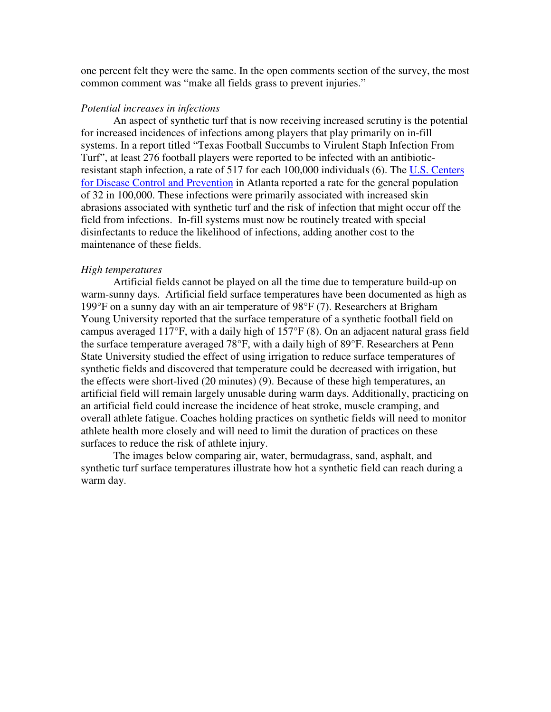one percent felt they were the same. In the open comments section of the survey, the most common comment was "make all fields grass to prevent injuries."

### *Potential increases in infections*

 An aspect of synthetic turf that is now receiving increased scrutiny is the potential for increased incidences of infections among players that play primarily on in-fill systems. In a report titled "Texas Football Succumbs to Virulent Staph Infection From Turf", at least 276 football players were reported to be infected with an antibioticresistant staph infection, a rate of 517 for each 100,000 individuals (6). The U.S. Centers for Disease Control and Prevention in Atlanta reported a rate for the general population of 32 in 100,000. These infections were primarily associated with increased skin abrasions associated with synthetic turf and the risk of infection that might occur off the field from infections. In-fill systems must now be routinely treated with special disinfectants to reduce the likelihood of infections, adding another cost to the maintenance of these fields.

#### *High temperatures*

 Artificial fields cannot be played on all the time due to temperature build-up on warm-sunny days. Artificial field surface temperatures have been documented as high as 199°F on a sunny day with an air temperature of 98°F (7). Researchers at Brigham Young University reported that the surface temperature of a synthetic football field on campus averaged 117°F, with a daily high of 157°F (8). On an adjacent natural grass field the surface temperature averaged 78°F, with a daily high of 89°F. Researchers at Penn State University studied the effect of using irrigation to reduce surface temperatures of synthetic fields and discovered that temperature could be decreased with irrigation, but the effects were short-lived (20 minutes) (9). Because of these high temperatures, an artificial field will remain largely unusable during warm days. Additionally, practicing on an artificial field could increase the incidence of heat stroke, muscle cramping, and overall athlete fatigue. Coaches holding practices on synthetic fields will need to monitor athlete health more closely and will need to limit the duration of practices on these surfaces to reduce the risk of athlete injury.

 The images below comparing air, water, bermudagrass, sand, asphalt, and synthetic turf surface temperatures illustrate how hot a synthetic field can reach during a warm day.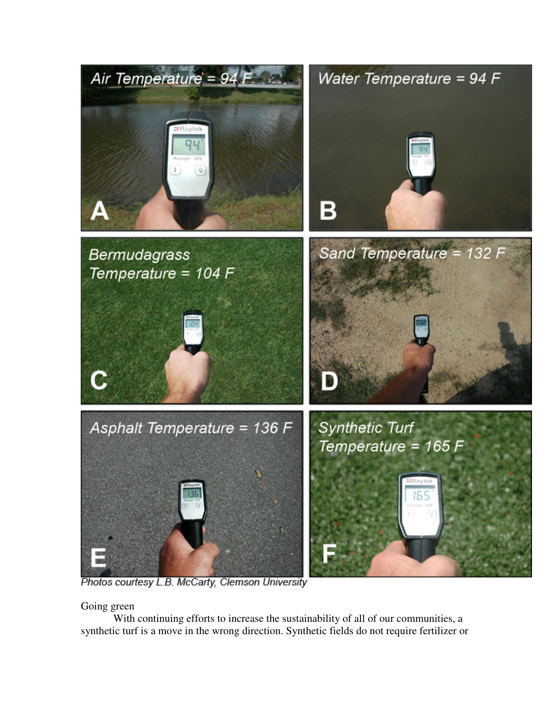

Photos courtesy L.B. McCarty, Clemson University

Going green

 With continuing efforts to increase the sustainability of all of our communities, a synthetic turf is a move in the wrong direction. Synthetic fields do not require fertilizer or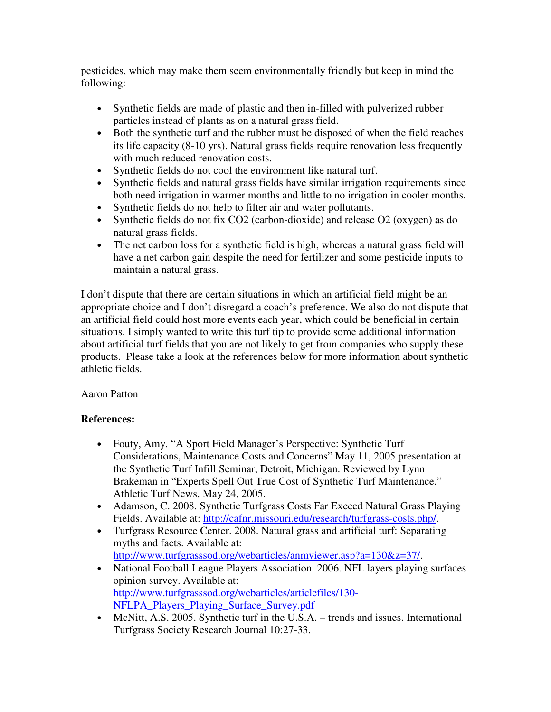pesticides, which may make them seem environmentally friendly but keep in mind the following:

- Synthetic fields are made of plastic and then in-filled with pulverized rubber particles instead of plants as on a natural grass field.
- Both the synthetic turf and the rubber must be disposed of when the field reaches its life capacity (8-10 yrs). Natural grass fields require renovation less frequently with much reduced renovation costs.
- Synthetic fields do not cool the environment like natural turf.
- Synthetic fields and natural grass fields have similar irrigation requirements since both need irrigation in warmer months and little to no irrigation in cooler months.
- Synthetic fields do not help to filter air and water pollutants.
- Synthetic fields do not fix CO2 (carbon-dioxide) and release O2 (oxygen) as do natural grass fields.
- The net carbon loss for a synthetic field is high, whereas a natural grass field will have a net carbon gain despite the need for fertilizer and some pesticide inputs to maintain a natural grass.

I don't dispute that there are certain situations in which an artificial field might be an appropriate choice and I don't disregard a coach's preference. We also do not dispute that an artificial field could host more events each year, which could be beneficial in certain situations. I simply wanted to write this turf tip to provide some additional information about artificial turf fields that you are not likely to get from companies who supply these products. Please take a look at the references below for more information about synthetic athletic fields.

# Aaron Patton

# **References:**

- Fouty, Amy. "A Sport Field Manager's Perspective: Synthetic Turf Considerations, Maintenance Costs and Concerns" May 11, 2005 presentation at the Synthetic Turf Infill Seminar, Detroit, Michigan. Reviewed by Lynn Brakeman in "Experts Spell Out True Cost of Synthetic Turf Maintenance." Athletic Turf News, May 24, 2005.
- Adamson, C. 2008. Synthetic Turfgrass Costs Far Exceed Natural Grass Playing Fields. Available at: http://cafnr.missouri.edu/research/turfgrass-costs.php/.
- Turfgrass Resource Center. 2008. Natural grass and artificial turf: Separating myths and facts. Available at: http://www.turfgrasssod.org/webarticles/anmviewer.asp?a=130&z=37/.
- National Football League Players Association. 2006. NFL layers playing surfaces opinion survey. Available at: http://www.turfgrasssod.org/webarticles/articlefiles/130- NFLPA\_Players\_Playing\_Surface\_Survey.pdf
- McNitt, A.S. 2005. Synthetic turf in the U.S.A. trends and issues. International Turfgrass Society Research Journal 10:27-33.